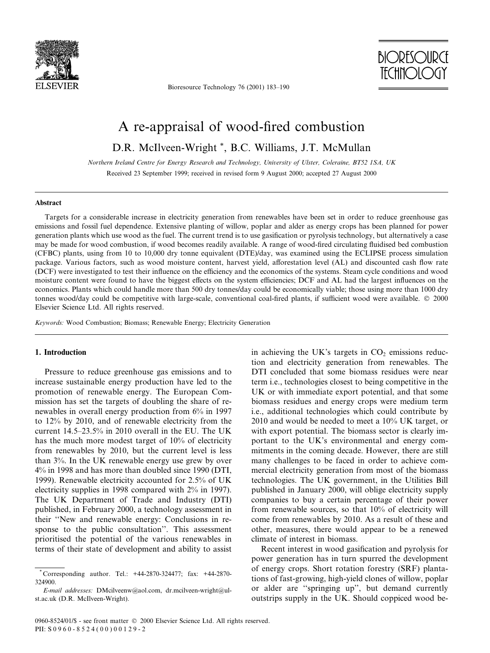

Bioresource Technology 76 (2001) 183-190



# A re-appraisal of wood-fired combustion

D.R. McIlveen-Wright \*, B.C. Williams, J.T. McMullan

Northern Ireland Centre for Energy Research and Technology, University of Ulster, Coleraine, BT52 1SA, UK Received 23 September 1999; received in revised form 9 August 2000; accepted 27 August 2000

## Abstract

Targets for a considerable increase in electricity generation from renewables have been set in order to reduce greenhouse gas emissions and fossil fuel dependence. Extensive planting of willow, poplar and alder as energy crops has been planned for power generation plants which use wood as the fuel. The current trend is to use gasification or pyrolysis technology, but alternatively a case may be made for wood combustion, if wood becomes readily available. A range of wood-fired circulating fluidised bed combustion (CFBC) plants, using from 10 to 10,000 dry tonne equivalent (DTE)/day, was examined using the ECLIPSE process simulation package. Various factors, such as wood moisture content, harvest yield, afforestation level (AL) and discounted cash flow rate (DCF) were investigated to test their influence on the efficiency and the economics of the systems. Steam cycle conditions and wood moisture content were found to have the biggest effects on the system efficiencies; DCF and AL had the largest influences on the economics. Plants which could handle more than 500 dry tonnes/day could be economically viable; those using more than 1000 dry tonnes wood/day could be competitive with large-scale, conventional coal-fired plants, if sufficient wood were available.  $\oslash$  2000 Elsevier Science Ltd. All rights reserved.

Keywords: Wood Combustion; Biomass; Renewable Energy; Electricity Generation

## 1. Introduction

Pressure to reduce greenhouse gas emissions and to increase sustainable energy production have led to the promotion of renewable energy. The European Commission has set the targets of doubling the share of renewables in overall energy production from 6% in 1997 to 12% by 2010, and of renewable electricity from the current 14.5-23.5% in 2010 overall in the EU. The UK has the much more modest target of 10% of electricity from renewables by 2010, but the current level is less than 3%. In the UK renewable energy use grew by over 4% in 1998 and has more than doubled since 1990 (DTI, 1999). Renewable electricity accounted for 2.5% of UK electricity supplies in 1998 compared with 2% in 1997). The UK Department of Trade and Industry (DTI) published, in February 2000, a technology assessment in their ``New and renewable energy: Conclusions in response to the public consultation''. This assessment prioritised the potential of the various renewables in terms of their state of development and ability to assist in achieving the UK's targets in  $CO<sub>2</sub>$  emissions reduction and electricity generation from renewables. The DTI concluded that some biomass residues were near term i.e., technologies closest to being competitive in the UK or with immediate export potential, and that some biomass residues and energy crops were medium term i.e., additional technologies which could contribute by 2010 and would be needed to meet a 10% UK target, or with export potential. The biomass sector is clearly important to the UK's environmental and energy commitments in the coming decade. However, there are still many challenges to be faced in order to achieve commercial electricity generation from most of the biomass technologies. The UK government, in the Utilities Bill published in January 2000, will oblige electricity supply companies to buy a certain percentage of their power from renewable sources, so that 10% of electricity will come from renewables by 2010. As a result of these and other, measures, there would appear to be a renewed climate of interest in biomass.

Recent interest in wood gasification and pyrolysis for power generation has in turn spurred the development of energy crops. Short rotation forestry (SRF) plantations of fast-growing, high-yield clones of willow, poplar or alder are "springing up", but demand currently outstrips supply in the UK. Should coppiced wood be-

<sup>\*</sup> Corresponding author. Tel.: +44-2870-324477; fax: +44-2870- 324900.

E-mail addresses: DMcilveenw@aol.com, dr.mcilveen-wright@ulst.ac.uk (D.R. McIlveen-Wright).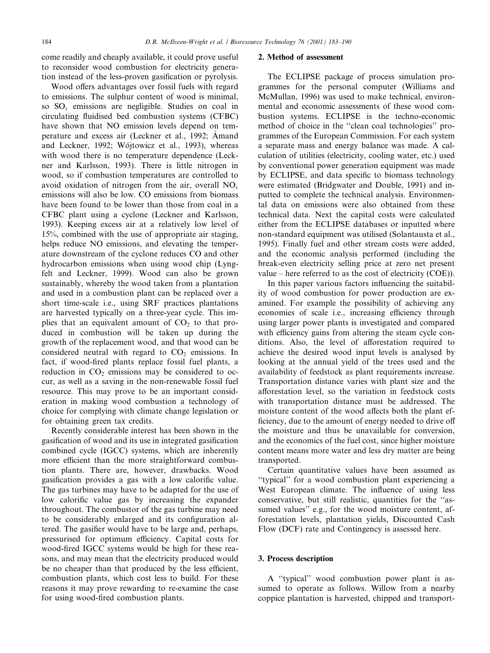come readily and cheaply available, it could prove useful to reconsider wood combustion for electricity generation instead of the less-proven gasification or pyrolysis.

Wood offers advantages over fossil fuels with regard to emissions. The sulphur content of wood is minimal, so  $SO<sub>x</sub>$  emissions are negligible. Studies on coal in circulating fluidised bed combustion systems (CFBC) have shown that NO emission levels depend on temperature and excess air (Leckner et al., 1992; Amand and Leckner, 1992; Wojtowicz et al., 1993), whereas with wood there is no temperature dependence (Leckner and Karlsson, 1993). There is little nitrogen in wood, so if combustion temperatures are controlled to avoid oxidation of nitrogen from the air, overall  $NO<sub>x</sub>$ emissions will also be low. CO emissions from biomass have been found to be lower than those from coal in a CFBC plant using a cyclone (Leckner and Karlsson, 1993). Keeping excess air at a relatively low level of 15%, combined with the use of appropriate air staging, helps reduce NO emissions, and elevating the temperature downstream of the cyclone reduces CO and other hydrocarbon emissions when using wood chip (Lyngfelt and Leckner, 1999). Wood can also be grown sustainably, whereby the wood taken from a plantation and used in a combustion plant can be replaced over a short time-scale i.e., using SRF practices plantations are harvested typically on a three-year cycle. This implies that an equivalent amount of  $CO<sub>2</sub>$  to that produced in combustion will be taken up during the growth of the replacement wood, and that wood can be considered neutral with regard to  $CO<sub>2</sub>$  emissions. In fact, if wood-fired plants replace fossil fuel plants, a reduction in  $CO<sub>2</sub>$  emissions may be considered to occur, as well as a saving in the non-renewable fossil fuel resource. This may prove to be an important consideration in making wood combustion a technology of choice for complying with climate change legislation or for obtaining green tax credits.

Recently considerable interest has been shown in the gasification of wood and its use in integrated gasification combined cycle (IGCC) systems, which are inherently more efficient than the more straightforward combustion plants. There are, however, drawbacks. Wood gasification provides a gas with a low calorific value. The gas turbines may have to be adapted for the use of low calorific value gas by increasing the expander throughout. The combustor of the gas turbine may need to be considerably enlarged and its configuration altered. The gasifier would have to be large and, perhaps, pressurised for optimum efficiency. Capital costs for wood-fired IGCC systems would be high for these reasons, and may mean that the electricity produced would be no cheaper than that produced by the less efficient, combustion plants, which cost less to build. For these reasons it may prove rewarding to re-examine the case for using wood-fired combustion plants.

#### 2. Method of assessment

The ECLIPSE package of process simulation programmes for the personal computer (Williams and McMullan, 1996) was used to make technical, environmental and economic assessments of these wood combustion systems. ECLIPSE is the techno-economic method of choice in the "clean coal technologies" programmes of the European Commission. For each system a separate mass and energy balance was made. A calculation of utilities (electricity, cooling water, etc.) used by conventional power generation equipment was made by ECLIPSE, and data specific to biomass technology were estimated (Bridgwater and Double, 1991) and inputted to complete the technical analysis. Environmental data on emissions were also obtained from these technical data. Next the capital costs were calculated either from the ECLIPSE databases or inputted where non-standard equipment was utilised (Solantausta et al., 1995). Finally fuel and other stream costs were added, and the economic analysis performed (including the break-even electricity selling price at zero net present value  $-$  here referred to as the cost of electricity (COE)).

In this paper various factors influencing the suitability of wood combustion for power production are examined. For example the possibility of achieving any economies of scale *i.e.*, increasing efficiency through using larger power plants is investigated and compared with efficiency gains from altering the steam cycle conditions. Also, the level of afforestation required to achieve the desired wood input levels is analysed by looking at the annual yield of the trees used and the availability of feedstock as plant requirements increase. Transportation distance varies with plant size and the afforestation level, so the variation in feedstock costs with transportation distance must be addressed. The moisture content of the wood affects both the plant efficiency, due to the amount of energy needed to drive off the moisture and thus be unavailable for conversion, and the economics of the fuel cost, since higher moisture content means more water and less dry matter are being transported.

Certain quantitative values have been assumed as ``typical'' for a wood combustion plant experiencing a West European climate. The influence of using less conservative, but still realistic, quantities for the "assumed values'' e.g., for the wood moisture content, afforestation levels, plantation yields, Discounted Cash Flow (DCF) rate and Contingency is assessed here.

## 3. Process description

A "typical" wood combustion power plant is assumed to operate as follows. Willow from a nearby coppice plantation is harvested, chipped and transport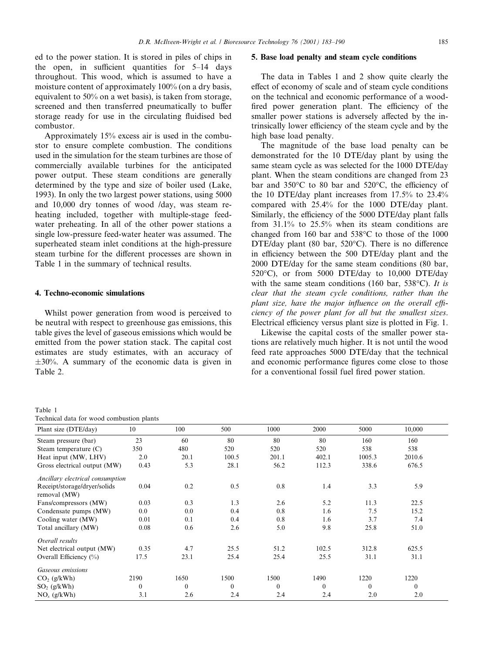ed to the power station. It is stored in piles of chips in the open, in sufficient quantities for  $5-14$  days throughout. This wood, which is assumed to have a moisture content of approximately 100% (on a dry basis, equivalent to 50% on a wet basis), is taken from storage, screened and then transferred pneumatically to buffer storage ready for use in the circulating fluidised bed combustor.

Approximately 15% excess air is used in the combustor to ensure complete combustion. The conditions used in the simulation for the steam turbines are those of commercially available turbines for the anticipated power output. These steam conditions are generally determined by the type and size of boiler used (Lake, 1993). In only the two largest power stations, using 5000 and 10,000 dry tonnes of wood /day, was steam reheating included, together with multiple-stage feedwater preheating. In all of the other power stations a single low-pressure feed-water heater was assumed. The superheated steam inlet conditions at the high-pressure steam turbine for the different processes are shown in Table 1 in the summary of technical results.

#### 4. Techno-economic simulations

Whilst power generation from wood is perceived to be neutral with respect to greenhouse gas emissions, this table gives the level of gaseous emissions which would be emitted from the power station stack. The capital cost estimates are study estimates, with an accuracy of  $\pm 30\%$ . A summary of the economic data is given in Table 2.

#### 5. Base load penalty and steam cycle conditions

The data in Tables 1 and 2 show quite clearly the effect of economy of scale and of steam cycle conditions on the technical and economic performance of a wood fired power generation plant. The efficiency of the smaller power stations is adversely affected by the intrinsically lower efficiency of the steam cycle and by the high base load penalty.

The magnitude of the base load penalty can be demonstrated for the 10 DTE/day plant by using the same steam cycle as was selected for the 1000 DTE/day plant. When the steam conditions are changed from 23 bar and  $350^{\circ}$ C to 80 bar and  $520^{\circ}$ C, the efficiency of the 10 DTE/day plant increases from 17.5% to 23.4% compared with 25.4% for the 1000 DTE/day plant. Similarly, the efficiency of the 5000 DTE/day plant falls from 31.1% to 25.5% when its steam conditions are changed from 160 bar and 538°C to those of the 1000 DTE/day plant (80 bar,  $520^{\circ}$ C). There is no difference in efficiency between the 500 DTE/day plant and the 2000 DTE/day for the same steam conditions (80 bar, 520°C), or from 5000 DTE/day to 10,000 DTE/day with the same steam conditions (160 bar, 538 $^{\circ}$ C). It is clear that the steam cycle conditions, rather than the plant size, have the major influence on the overall efficiency of the power plant for all but the smallest sizes. Electrical efficiency versus plant size is plotted in Fig. 1.

Likewise the capital costs of the smaller power stations are relatively much higher. It is not until the wood feed rate approaches 5000 DTE/day that the technical and economic performance figures come close to those for a conventional fossil fuel fired power station.

| тарје т |  |                                           |  |
|---------|--|-------------------------------------------|--|
|         |  | Technical data for wood combustion plants |  |

Table 1

| centrical auta for wood compassion plants    |              |          |          |          |          |          |          |  |
|----------------------------------------------|--------------|----------|----------|----------|----------|----------|----------|--|
| Plant size (DTE/day)                         | 10           | 100      | 500      | 1000     | 2000     | 5000     | 10,000   |  |
| Steam pressure (bar)                         | 23           | 60       | 80       | 80       | 80       | 160      | 160      |  |
| Steam temperature $(C)$                      | 350          | 480      | 520      | 520      | 520      | 538      | 538      |  |
| Heat input (MW, LHV)                         | 2.0          | 20.1     | 100.5    | 201.1    | 402.1    | 1005.3   | 2010.6   |  |
| Gross electrical output (MW)                 | 0.43         | 5.3      | 28.1     | 56.2     | 112.3    | 338.6    | 676.5    |  |
| Ancillary electrical consumption             |              |          |          |          |          |          |          |  |
| Receipt/storage/dryer/solids<br>removal (MW) | 0.04         | 0.2      | 0.5      | 0.8      | 1.4      | 3.3      | 5.9      |  |
| Fans/compressors (MW)                        | 0.03         | 0.3      | 1.3      | 2.6      | 5.2      | 11.3     | 22.5     |  |
| Condensate pumps (MW)                        | $0.0\,$      | 0.0      | 0.4      | 0.8      | 1.6      | 7.5      | 15.2     |  |
| Cooling water (MW)                           | 0.01         | 0.1      | 0.4      | 0.8      | 1.6      | 3.7      | 7.4      |  |
| Total ancillary (MW)                         | 0.08         | 0.6      | 2.6      | 5.0      | 9.8      | 25.8     | 51.0     |  |
| Overall results                              |              |          |          |          |          |          |          |  |
| Net electrical output (MW)                   | 0.35         | 4.7      | 25.5     | 51.2     | 102.5    | 312.8    | 625.5    |  |
| Overall Efficiency (%)                       | 17.5         | 23.1     | 25.4     | 25.4     | 25.5     | 31.1     | 31.1     |  |
| Gaseous emissions                            |              |          |          |          |          |          |          |  |
| $CO2$ (g/kWh)                                | 2190         | 1650     | 1500     | 1500     | 1490     | 1220     | 1220     |  |
| $SO2$ (g/kWh)                                | $\mathbf{0}$ | $\theta$ | $\theta$ | $\theta$ | $\theta$ | $\theta$ | $\theta$ |  |
| $NOr$ (g/kWh)                                | 3.1          | 2.6      | 2.4      | 2.4      | 2.4      | 2.0      | 2.0      |  |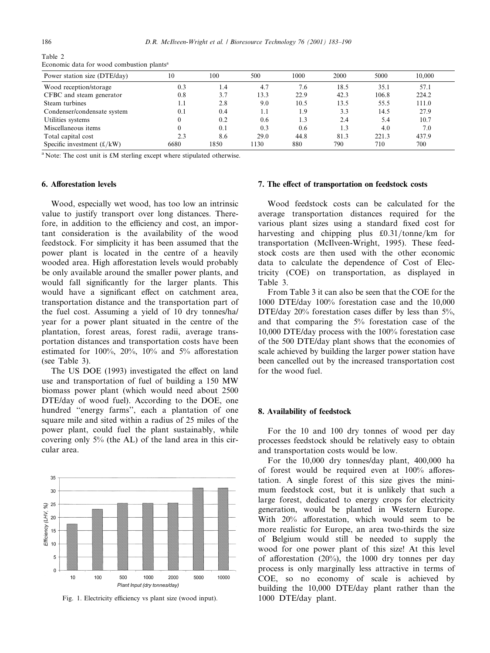| Power station size (DTE/day) | 10   | 100  | 500  | 1000 | 2000 | 5000  | 10.000 |
|------------------------------|------|------|------|------|------|-------|--------|
| Wood reception/storage       | 0.3  | 1.4  | 4.7  | 7.6  | 18.5 | 35.1  | 57.1   |
| CFBC and steam generator     | 0.8  | 3.7  | 13.3 | 22.9 | 42.3 | 106.8 | 224.2  |
| Steam turbines               | 1.1  | 2.8  | 9.0  | 10.5 | 13.5 | 55.5  | 111.0  |
| Condenser/condensate system  | 0.1  | 0.4  | 1.1  | 1.9  | 3.3  | 14.5  | 27.9   |
| Utilities systems            |      | 0.2  | 0.6  | 1.3  | 2.4  | 5.4   | 10.7   |
| Miscellaneous items          |      | 0.1  | 0.3  | 0.6  | 1.3  | 4.0   | 7.0    |
| Total capital cost           | 2.3  | 8.6  | 29.0 | 44.8 | 81.3 | 221.3 | 437.9  |
| Specific investment $(f/kW)$ | 6680 | 1850 | 1130 | 880  | 790  | 710   | 700    |

Table 2 Economic data for wood combustion plants<sup>a</sup>

<sup>a</sup> Note: The cost unit is £M sterling except where stipulated otherwise.

# 6. Afforestation levels

Wood, especially wet wood, has too low an intrinsic value to justify transport over long distances. Therefore, in addition to the efficiency and cost, an important consideration is the availability of the wood feedstock. For simplicity it has been assumed that the power plant is located in the centre of a heavily wooded area. High afforestation levels would probably be only available around the smaller power plants, and would fall significantly for the larger plants. This would have a significant effect on catchment area, transportation distance and the transportation part of the fuel cost. Assuming a yield of 10 dry tonnes/ha/ year for a power plant situated in the centre of the plantation, forest areas, forest radii, average transportation distances and transportation costs have been estimated for 100%, 20%, 10% and 5% afforestation (see Table 3).

The US DOE (1993) investigated the effect on land use and transportation of fuel of building a 150 MW biomass power plant (which would need about 2500 DTE/day of wood fuel). According to the DOE, one hundred "energy farms", each a plantation of one square mile and sited within a radius of 25 miles of the power plant, could fuel the plant sustainably, while covering only 5% (the AL) of the land area in this circular area.



Fig. 1. Electricity efficiency vs plant size (wood input).

#### 7. The effect of transportation on feedstock costs

Wood feedstock costs can be calculated for the average transportation distances required for the various plant sizes using a standard fixed cost for harvesting and chipping plus  $\pounds 0.31/tonne/km$  for transportation (McIlveen-Wright, 1995). These feedstock costs are then used with the other economic data to calculate the dependence of Cost of Electricity (COE) on transportation, as displayed in Table 3.

From Table 3 it can also be seen that the COE for the 1000 DTE/day 100% forestation case and the 10,000 DTE/day  $20\%$  forestation cases differ by less than  $5\%$ , and that comparing the 5% forestation case of the 10,000 DTE/day process with the 100% forestation case of the 500 DTE/day plant shows that the economies of scale achieved by building the larger power station have been cancelled out by the increased transportation cost for the wood fuel.

#### 8. Availability of feedstock

For the 10 and 100 dry tonnes of wood per day processes feedstock should be relatively easy to obtain and transportation costs would be low.

For the 10,000 dry tonnes/day plant, 400,000 ha of forest would be required even at  $100\%$  afforestation. A single forest of this size gives the minimum feedstock cost, but it is unlikely that such a large forest, dedicated to energy crops for electricity generation, would be planted in Western Europe. With  $20\%$  afforestation, which would seem to be more realistic for Europe, an area two-thirds the size of Belgium would still be needed to supply the wood for one power plant of this size! At this level of afforestation  $(20\%)$ , the 1000 dry tonnes per day process is only marginally less attractive in terms of COE, so no economy of scale is achieved by building the 10,000 DTE/day plant rather than the 1000 DTE/day plant.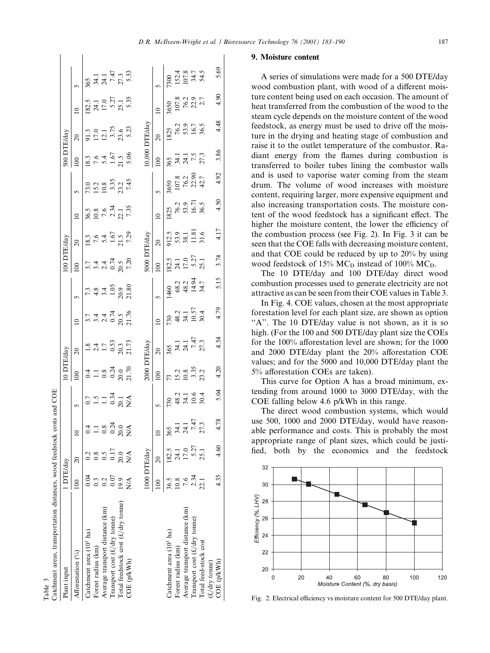| 1 DTE/day                    |                  |                                                                           |                                          |                                                                                                  |                                                                                           |                                                                                                                           |                                                                                                     |                                                                                                                            |                                                                                                                   |                                                                                                                                     |                                       |                                                                                                   |                                                                                                                                                            |                                                                                                                      |                                                                                     |                                                                                        |
|------------------------------|------------------|---------------------------------------------------------------------------|------------------------------------------|--------------------------------------------------------------------------------------------------|-------------------------------------------------------------------------------------------|---------------------------------------------------------------------------------------------------------------------------|-----------------------------------------------------------------------------------------------------|----------------------------------------------------------------------------------------------------------------------------|-------------------------------------------------------------------------------------------------------------------|-------------------------------------------------------------------------------------------------------------------------------------|---------------------------------------|---------------------------------------------------------------------------------------------------|------------------------------------------------------------------------------------------------------------------------------------------------------------|----------------------------------------------------------------------------------------------------------------------|-------------------------------------------------------------------------------------|----------------------------------------------------------------------------------------|
| $\approx$                    |                  | $\equiv$                                                                  |                                          |                                                                                                  | $\overline{\Omega}$                                                                       |                                                                                                                           |                                                                                                     | $100\,$                                                                                                                    | $\overline{0}$                                                                                                    | $\overline{a}$                                                                                                                      |                                       | $\infty$                                                                                          | $\overline{20}$                                                                                                                                            | $\overline{a}$                                                                                                       |                                                                                     |                                                                                        |
| 0.04                         | 0.2              | $\ddot{0}$                                                                |                                          |                                                                                                  |                                                                                           |                                                                                                                           |                                                                                                     |                                                                                                                            |                                                                                                                   |                                                                                                                                     |                                       |                                                                                                   |                                                                                                                                                            |                                                                                                                      |                                                                                     |                                                                                        |
|                              | $\overline{0.8}$ |                                                                           |                                          |                                                                                                  |                                                                                           |                                                                                                                           |                                                                                                     |                                                                                                                            |                                                                                                                   |                                                                                                                                     |                                       |                                                                                                   |                                                                                                                                                            |                                                                                                                      |                                                                                     |                                                                                        |
|                              | 0.5              | 0.8                                                                       |                                          |                                                                                                  |                                                                                           |                                                                                                                           |                                                                                                     |                                                                                                                            |                                                                                                                   |                                                                                                                                     |                                       |                                                                                                   |                                                                                                                                                            |                                                                                                                      |                                                                                     |                                                                                        |
| 0.07                         | 0.17             | 0.24                                                                      |                                          |                                                                                                  |                                                                                           |                                                                                                                           |                                                                                                     |                                                                                                                            |                                                                                                                   |                                                                                                                                     |                                       |                                                                                                   |                                                                                                                                                            |                                                                                                                      |                                                                                     |                                                                                        |
| 19.9                         |                  |                                                                           |                                          |                                                                                                  |                                                                                           |                                                                                                                           |                                                                                                     |                                                                                                                            |                                                                                                                   |                                                                                                                                     |                                       |                                                                                                   |                                                                                                                                                            |                                                                                                                      |                                                                                     |                                                                                        |
| $\stackrel{\triangle}{\geq}$ |                  | N/A                                                                       |                                          |                                                                                                  |                                                                                           |                                                                                                                           |                                                                                                     |                                                                                                                            |                                                                                                                   |                                                                                                                                     |                                       |                                                                                                   |                                                                                                                                                            |                                                                                                                      |                                                                                     |                                                                                        |
|                              |                  |                                                                           |                                          |                                                                                                  |                                                                                           |                                                                                                                           |                                                                                                     |                                                                                                                            |                                                                                                                   |                                                                                                                                     |                                       |                                                                                                   |                                                                                                                                                            |                                                                                                                      |                                                                                     |                                                                                        |
|                              |                  |                                                                           |                                          |                                                                                                  |                                                                                           |                                                                                                                           |                                                                                                     |                                                                                                                            |                                                                                                                   |                                                                                                                                     |                                       |                                                                                                   |                                                                                                                                                            |                                                                                                                      |                                                                                     |                                                                                        |
|                              |                  |                                                                           |                                          |                                                                                                  | $\approx$                                                                                 | $\overline{a}$                                                                                                            |                                                                                                     |                                                                                                                            | $\overline{0}$                                                                                                    | $\overline{a}$                                                                                                                      |                                       |                                                                                                   | $\overline{5}$                                                                                                                                             | $\overline{a}$                                                                                                       |                                                                                     |                                                                                        |
| 36.5                         |                  |                                                                           |                                          |                                                                                                  |                                                                                           |                                                                                                                           |                                                                                                     |                                                                                                                            |                                                                                                                   |                                                                                                                                     |                                       |                                                                                                   |                                                                                                                                                            |                                                                                                                      |                                                                                     |                                                                                        |
| 10.8                         | 24.1             |                                                                           |                                          |                                                                                                  |                                                                                           |                                                                                                                           |                                                                                                     |                                                                                                                            |                                                                                                                   |                                                                                                                                     |                                       |                                                                                                   |                                                                                                                                                            |                                                                                                                      |                                                                                     |                                                                                        |
| 7.6                          | 17.0             |                                                                           |                                          |                                                                                                  |                                                                                           |                                                                                                                           |                                                                                                     |                                                                                                                            |                                                                                                                   |                                                                                                                                     |                                       |                                                                                                   |                                                                                                                                                            |                                                                                                                      |                                                                                     |                                                                                        |
| 2.34                         | 5.27             | 7.47                                                                      |                                          |                                                                                                  |                                                                                           |                                                                                                                           |                                                                                                     |                                                                                                                            |                                                                                                                   |                                                                                                                                     |                                       |                                                                                                   |                                                                                                                                                            |                                                                                                                      |                                                                                     |                                                                                        |
|                              |                  | 27.3                                                                      |                                          |                                                                                                  |                                                                                           |                                                                                                                           |                                                                                                     |                                                                                                                            |                                                                                                                   |                                                                                                                                     |                                       |                                                                                                   |                                                                                                                                                            |                                                                                                                      |                                                                                     |                                                                                        |
| 4.35                         | 4.60             | 4.78                                                                      | 5.04                                     | 4.20                                                                                             | 4.54                                                                                      | 4.79                                                                                                                      | 5.15                                                                                                | 3.74                                                                                                                       | 4.17                                                                                                              | 4.50                                                                                                                                | 4.92                                  | 3.86                                                                                              | 4.48                                                                                                                                                       | 4.90                                                                                                                 | 5.69                                                                                |                                                                                        |
|                              |                  | 182.5<br>000 DTE/day<br>$20.0$<br>NA<br>$\overline{20}$<br>$\overline{6}$ | 20.0<br>34.1<br>24.1<br>365<br>$\approx$ | $730$<br>$48.2$<br>$34.1$<br>$10.6$<br>$30.4$<br>$1.1$<br>$0.34$<br>$20.1$<br>NA<br>$0.7$<br>1.5 | $0.18$<br>$0.24$<br>$0.24$<br>$0.24$<br>$0.70$<br>$0.70$<br>$73$<br>15.2<br>10.8<br>13.35 | 365<br>34.1<br>24.1<br>27.3<br>27.3<br>$1.8$<br>$2.4$<br>$1.7$<br>$0.53$<br>$20.3$<br>$21.73$<br><b>Eday</b><br>0 DTE/day | $730$<br>48.2<br>34.1<br>30.57<br>30.4<br>$774478$<br>$74474$<br>$0.05$<br>$0.76$<br>$\overline{a}$ | 1460<br>68.2<br>14.34<br>14.7<br>$7\frac{3}{4}$<br>$4\frac{4}{5}$<br>$1\frac{3}{5}$<br>$1\frac{3}{5}$<br>$20.9$<br>$21.80$ | 182.5<br>24.1<br>17.0<br>5.27<br>5.1<br>000<br>$\begin{array}{c} 7.44 \\ 7.44 \\ 0.09 \\ 0.09 \end{array}$<br>100 | 12.5<br>53.9<br>53.1<br>11.81<br>11.6<br>$\frac{18.3}{7.6}$<br>$\frac{7.6}{5.4}$<br>$\frac{1.67}{1.3}$<br><b>Eday</b><br>00 DTE/day | $36.5$<br>10.8<br>7.6<br>7.34<br>7.35 | $\frac{5}{73.0}$<br>15.2<br>10.8<br>3.35<br>7.45<br>$\frac{1825}{76.2}$<br>76.2<br>16.71<br>16.71 | 0,000<br>365<br>34.1<br>7.5<br>7.3<br>$\frac{18.3}{7.6}$<br>$\frac{7.6}{1.67}$<br>$\frac{1.5}{5.06}$<br>$\otimes$<br>3650<br>107.8<br>76.2<br>42.7<br>42.7 | <b>JTE/day</b><br>$\frac{76.2}{76.2}$<br>53.9<br>16.7<br>36.5<br>91.3<br>17.0<br>12.15<br>3.23<br>5.23<br>00 DTE/day | 3650<br>107.8<br>76.2<br>2.3<br>2.7<br>$\frac{182.5}{24.1}$<br>17.0<br>5.27<br>5.35 | $15075$<br>$0577$<br>$0577$<br>$365$<br>$34.1$<br>$24.1$<br>$7.47$<br>$27.3$<br>$5.53$ |

Table 3

A series of simulations were made for a 500 DTE/day wood combustion plant, with wood of a different moisture content being used on each occasion. The amount of heat transferred from the combustion of the wood to the steam cycle depends on the moisture content of the wood feedstock, as energy must be used to drive off the moisture in the drying and heating stage of combustion and raise it to the outlet temperature of the combustor. Radiant energy from the flames during combustion is transferred to boiler tubes lining the combustor walls and is used to vaporise water coming from the steam drum. The volume of wood increases with moisture content, requiring larger, more expensive equipment and also increasing transportation costs. The moisture content of the wood feedstock has a significant effect. The higher the moisture content, the lower the efficiency of the combustion process (see Fig. 2). In Fig. 3 it can be seen that the COE falls with decreasing moisture content, and that COE could be reduced by up to 20% by using wood feedstock of 15%  $MC<sub>D</sub>$  instead of 100%  $MC<sub>D</sub>$ .

The 10 DTE/day and 100 DTE/day direct wood combustion processes used to generate electricity are not attractive as can be seen from their COE values in Table 3.

In Fig. 4. COE values, chosen at the most appropriate forestation level for each plant size, are shown as option ``A''. The 10 DTE/day value is not shown, as it is so high. (For the 100 and 500 DTE/day plant size the COEs for the  $100\%$  afforestation level are shown; for the  $1000$ and 2000 DTE/day plant the  $20\%$  afforestation COE values; and for the 5000 and 10,000 DTE/day plant the 5% afforestation COEs are taken).

This curve for Option A has a broad minimum, extending from around 1000 to 3000 DTE/day, with the COE falling below 4.6 p/kWh in this range.

The direct wood combustion systems, which would use 500, 1000 and 2000 DTE/day, would have reasonable performance and costs. This is probably the most appropriate range of plant sizes, which could be justi fied, both by the economics and the feedstock



Fig. 2. Electrical efficiency vs moisture content for 500 DTE/day plant.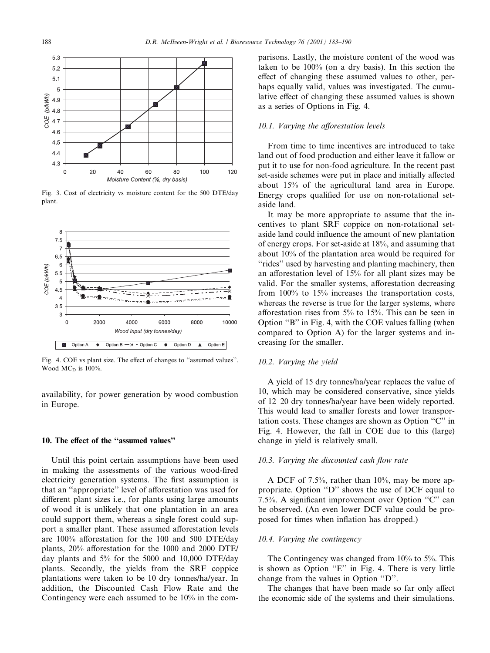

Fig. 3. Cost of electricity vs moisture content for the 500 DTE/day plant.



Fig. 4. COE vs plant size. The effect of changes to "assumed values". Wood  $MC<sub>D</sub>$  is 100%.

availability, for power generation by wood combustion in Europe.

## 10. The effect of the "assumed values"

Until this point certain assumptions have been used in making the assessments of the various wood-fired electricity generation systems. The first assumption is that an "appropriate" level of afforestation was used for different plant sizes i.e., for plants using large amounts of wood it is unlikely that one plantation in an area could support them, whereas a single forest could support a smaller plant. These assumed afforestation levels are  $100\%$  afforestation for the 100 and 500 DTE/day plants,  $20\%$  afforestation for the 1000 and 2000 DTE/ day plants and 5% for the 5000 and 10,000 DTE/day plants. Secondly, the yields from the SRF coppice plantations were taken to be 10 dry tonnes/ha/year. In addition, the Discounted Cash Flow Rate and the Contingency were each assumed to be 10% in the comparisons. Lastly, the moisture content of the wood was taken to be 100% (on a dry basis). In this section the effect of changing these assumed values to other, perhaps equally valid, values was investigated. The cumulative effect of changing these assumed values is shown as a series of Options in Fig. 4.

## $10.1$ . Varying the afforestation levels

From time to time incentives are introduced to take land out of food production and either leave it fallow or put it to use for non-food agriculture. In the recent past set-aside schemes were put in place and initially affected about 15% of the agricultural land area in Europe. Energy crops qualified for use on non-rotational setaside land.

It may be more appropriate to assume that the incentives to plant SRF coppice on non-rotational setaside land could influence the amount of new plantation of energy crops. For set-aside at 18%, and assuming that about 10% of the plantation area would be required for "rides" used by harvesting and planting machinery, then an afforestation level of  $15%$  for all plant sizes may be valid. For the smaller systems, afforestation decreasing from 100% to 15% increases the transportation costs, whereas the reverse is true for the larger systems, where afforestation rises from  $5\%$  to  $15\%$ . This can be seen in Option "B" in Fig. 4, with the COE values falling (when compared to Option A) for the larger systems and increasing for the smaller.

## 10.2. Varying the yield

A yield of 15 dry tonnes/ha/year replaces the value of 10, which may be considered conservative, since yields of 12–20 dry tonnes/ha/year have been widely reported. This would lead to smaller forests and lower transportation costs. These changes are shown as Option "C" in Fig. 4. However, the fall in COE due to this (large) change in yield is relatively small.

#### $10.3$ . Varying the discounted cash flow rate

A DCF of 7.5%, rather than 10%, may be more appropriate. Option "D" shows the use of DCF equal to 7.5%. A significant improvement over Option  $C$ " can be observed. (An even lower DCF value could be proposed for times when inflation has dropped.)

#### 10.4. Varying the contingency

The Contingency was changed from 10% to 5%. This is shown as Option "E" in Fig. 4. There is very little change from the values in Option "D".

The changes that have been made so far only affect the economic side of the systems and their simulations.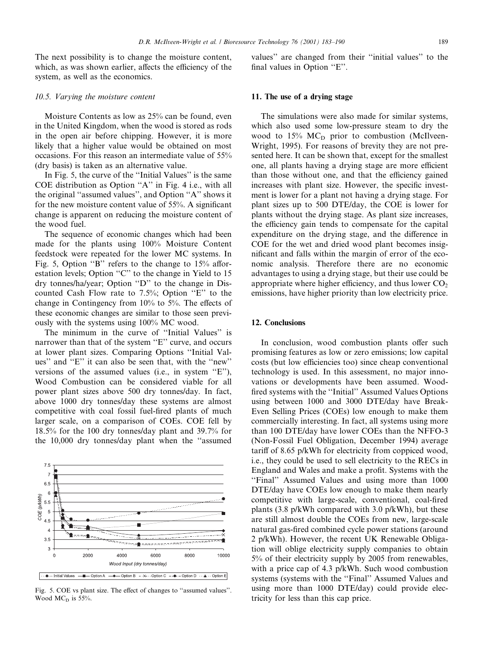The next possibility is to change the moisture content, which, as was shown earlier, affects the efficiency of the system, as well as the economics.

## 10.5. Varying the moisture content

Moisture Contents as low as 25% can be found, even in the United Kingdom, when the wood is stored as rods in the open air before chipping. However, it is more likely that a higher value would be obtained on most occasions. For this reason an intermediate value of 55% (dry basis) is taken as an alternative value.

In Fig. 5, the curve of the "Initial Values" is the same COE distribution as Option "A" in Fig. 4 i.e., with all the original "assumed values", and Option "A" shows it for the new moisture content value of  $55\%$ . A significant change is apparent on reducing the moisture content of the wood fuel.

The sequence of economic changes which had been made for the plants using 100% Moisture Content feedstock were repeated for the lower MC systems. In Fig. 5, Option "B" refers to the change to  $15%$  afforestation levels; Option "C" to the change in Yield to 15 dry tonnes/ha/year; Option "D" to the change in Discounted Cash Flow rate to  $7.5\%$ ; Option "E" to the change in Contingency from  $10\%$  to 5%. The effects of these economic changes are similar to those seen previously with the systems using 100% MC wood.

The minimum in the curve of "Initial Values" is narrower than that of the system "E" curve, and occurs at lower plant sizes. Comparing Options "Initial Values" and "E" it can also be seen that, with the "new" versions of the assumed values (i.e., in system  $E$ "). Wood Combustion can be considered viable for all power plant sizes above 500 dry tonnes/day. In fact, above 1000 dry tonnes/day these systems are almost competitive with coal fossil fuel-fired plants of much larger scale, on a comparison of COEs. COE fell by 18.5% for the 100 dry tonnes/day plant and 39.7% for the 10,000 dry tonnes/day plant when the "assumed



Fig. 5. COE vs plant size. The effect of changes to "assumed values". Wood  $MC<sub>D</sub>$  is 55%.

values" are changed from their "initial values" to the final values in Option "E".

## 11. The use of a drying stage

The simulations were also made for similar systems, which also used some low-pressure steam to dry the wood to  $15\%$  MC<sub>D</sub> prior to combustion (McIlveen-Wright, 1995). For reasons of brevity they are not presented here. It can be shown that, except for the smallest one, all plants having a drying stage are more efficient than those without one, and that the efficiency gained increases with plant size. However, the specific investment is lower for a plant not having a drying stage. For plant sizes up to 500 DTE/day, the COE is lower for plants without the drying stage. As plant size increases, the efficiency gain tends to compensate for the capital expenditure on the drying stage, and the difference in COE for the wet and dried wood plant becomes insignificant and falls within the margin of error of the economic analysis. Therefore there are no economic advantages to using a drying stage, but their use could be appropriate where higher efficiency, and thus lower  $CO<sub>2</sub>$ emissions, have higher priority than low electricity price.

## 12. Conclusions

In conclusion, wood combustion plants offer such promising features as low or zero emissions; low capital costs (but low efficiencies too) since cheap conventional technology is used. In this assessment, no major innovations or developments have been assumed. Wood fired systems with the "Initial" Assumed Values Options using between 1000 and 3000 DTE/day have Break-Even Selling Prices (COEs) low enough to make them commercially interesting. In fact, all systems using more than 100 DTE/day have lower COEs than the NFFO-3 (Non-Fossil Fuel Obligation, December 1994) average tariff of 8.65 p/kWh for electricity from coppiced wood, i.e., they could be used to sell electricity to the RECs in England and Wales and make a profit. Systems with the ``Final'' Assumed Values and using more than 1000 DTE/day have COEs low enough to make them nearly competitive with large-scale, conventional, coal-fired plants (3.8 p/kWh compared with 3.0 p/kWh), but these are still almost double the COEs from new, large-scale natural gas-fired combined cycle power stations (around 2 p/kWh). However, the recent UK Renewable Obligation will oblige electricity supply companies to obtain 5% of their electricity supply by 2005 from renewables, with a price cap of 4.3 p/kWh. Such wood combustion systems (systems with the "Final" Assumed Values and using more than 1000 DTE/day) could provide electricity for less than this cap price.